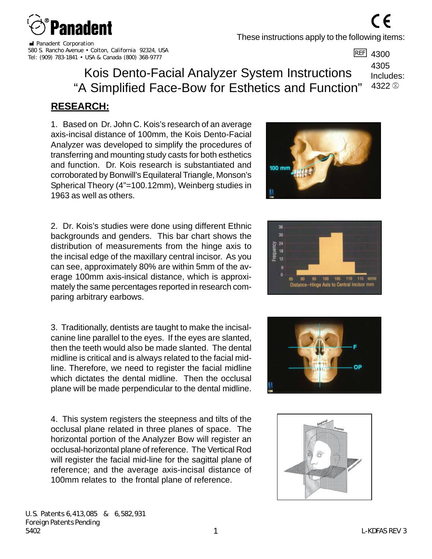# Kois Dento-Facial Analyzer System Instructions Tel: (909) 783-1841 • USA & Canada (800) 368-9777

# "A Simplified Face-Bow for Esthetics and Function" **RESEARCH:**

1. Based on Dr. John C. Kois's research of an average axis-incisal distance of 100mm, the Kois Dento-Facial Analyzer was developed to simplify the procedures of transferring and mounting study casts for both esthetics and function. Dr. Kois research is substantiated and corroborated by Bonwill's Equilateral Triangle, Monson's Spherical Theory (4"=100.12mm), Weinberg studies in 1963 as well as others.

2. Dr. Kois's studies were done using different Ethnic backgrounds and genders. This bar chart shows the distribution of measurements from the hinge axis to the incisal edge of the maxillary central incisor. As you can see, approximately 80% are within 5mm of the average 100mm axis-insical distance, which is approximately the same percentages reported in research comparing arbitrary earbows.

3. Traditionally, dentists are taught to make the incisalcanine line parallel to the eyes. If the eyes are slanted, then the teeth would also be made slanted. The dental midline is critical and is always related to the facial midline. Therefore, we need to register the facial midline which dictates the dental midline. Then the occlusal plane will be made perpendicular to the dental midline.

4. This system registers the steepness and tilts of the occlusal plane related in three planes of space. The horizontal portion of the Analyzer Bow will register an occlusal-horizontal plane of reference. The Vertical Rod will register the facial mid-line for the sagittal plane of reference; and the average axis-incisal distance of 100mm relates to the frontal plane of reference.

These instructions apply to the following items:

 $\overline{R}\overline{E}$  4300

 4305 Includes: 4322 <sup>2</sup>









580 S. Rancho Avenue • Colton, California 92324, USA

**M** Panadent Corporation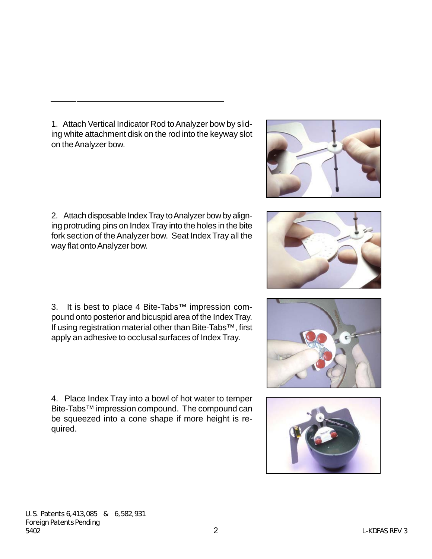1. Attach Vertical Indicator Rod to Analyzer bow by sliding white attachment disk on the rod into the keyway slot on the Analyzer bow.

2. Attach disposable Index Tray to Analyzer bow by aligning protruding pins on Index Tray into the holes in the bite fork section of the Analyzer bow. Seat Index Tray all the way flat onto Analyzer bow.

3. It is best to place 4 Bite-Tabs™ impression compound onto posterior and bicuspid area of the Index Tray. If using registration material other than Bite-Tabs™, first apply an adhesive to occlusal surfaces of Index Tray.

4. Place Index Tray into a bowl of hot water to temper Bite-Tabs™ impression compound. The compound can be squeezed into a cone shape if more height is required.







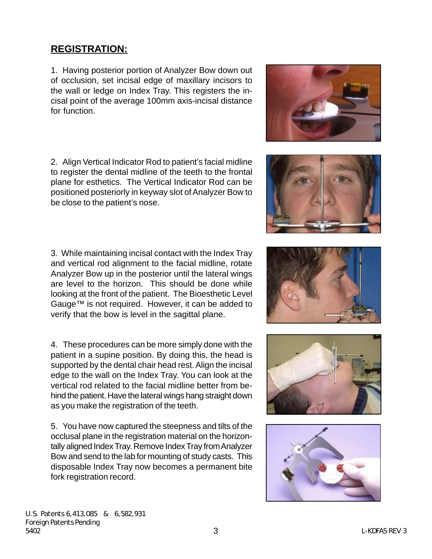#### **REGISTRATION:**

1. Having posterior portion of Analyzer Bow down out of occlusion, set incisal edge of maxillary incisors to the wall or ledge on Index Tray. This registers the incisal point of the average 100mm axis-incisal distance for function.

2. Align Vertical Indicator Rod to patient's facial midline to register the dental midline of the teeth to the frontal plane for esthetics. The Vertical Indicator Rod can be positioned posteriorly in keyway slot of Analyzer Bow to be close to the patient's nose.

3. While maintaining incisal contact with the Index Tray and vertical rod alignment to the facial midline, rotate Analyzer Bow up in the posterior until the lateral wings are level to the horizon. This should be done while looking at the front of the patient. The Bioesthetic Level Gauge™ is not required. However, it can be added to verify that the bow is level in the sagittal plane.

4. These procedures can be more simply done with the patient in a supine position. By doing this, the head is supported by the dental chair head rest. Align the incisal edge to the wall on the Index Tray. You can look at the vertical rod related to the facial midline better from behind the patient. Have the lateral wings hang straight down as you make the registration of the teeth.

5. You have now captured the steepness and tilts of the occlusal plane in the registration material on the horizontally aligned Index Tray. Remove Index Tray from Analyzer Bow and send to the lab for mounting of study casts. This disposable Index Tray now becomes a permanent bite fork registration record.

3 L-KDFAS REV 3





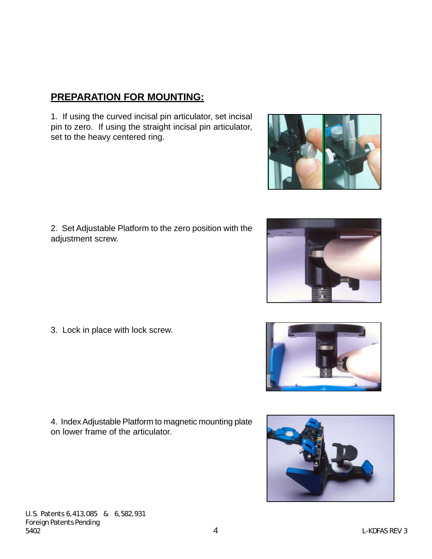5402

## **PREPARATION FOR MOUNTING:**

1. If using the curved incisal pin articulator, set incisal pin to zero. If using the straight incisal pin articulator, set to the heavy centered ring.

2. Set Adjustable Platform to the zero position with the adjustment screw.

3. Lock in place with lock screw.

4. Index Adjustable Platform to magnetic mounting plate on lower frame of the articulator.







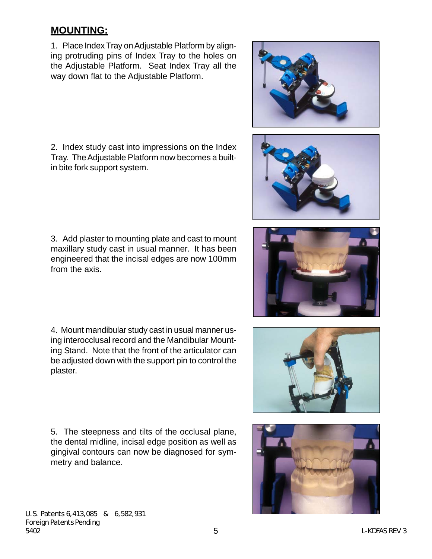### **MOUNTING:**

1. Place Index Tray on Adjustable Platform by aligning protruding pins of Index Tray to the holes on the Adjustable Platform. Seat Index Tray all the way down flat to the Adjustable Platform.

2. Index study cast into impressions on the Index Tray. The Adjustable Platform now becomes a builtin bite fork support system.

3. Add plaster to mounting plate and cast to mount maxillary study cast in usual manner. It has been engineered that the incisal edges are now 100mm from the axis.

4. Mount mandibular study cast in usual manner using interocclusal record and the Mandibular Mounting Stand. Note that the front of the articulator can be adjusted down with the support pin to control the plaster.

5. The steepness and tilts of the occlusal plane, the dental midline, incisal edge position as well as gingival contours can now be diagnosed for symmetry and balance.







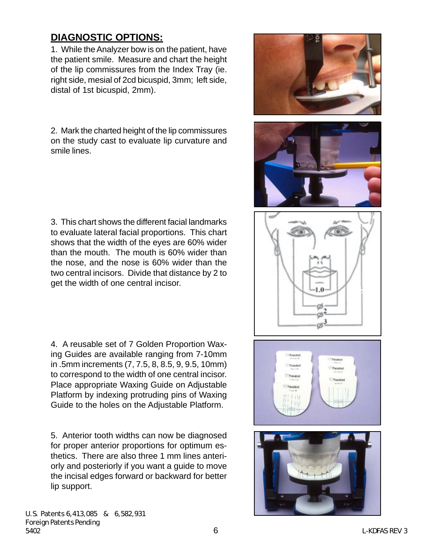## **DIAGNOSTIC OPTIONS:**

1. While the Analyzer bow is on the patient, have the patient smile. Measure and chart the height of the lip commissures from the Index Tray (ie. right side, mesial of 2cd bicuspid, 3mm; left side, distal of 1st bicuspid, 2mm).

2. Mark the charted height of the lip commissures on the study cast to evaluate lip curvature and smile lines.

3. This chart shows the different facial landmarks to evaluate lateral facial proportions. This chart shows that the width of the eyes are 60% wider than the mouth. The mouth is 60% wider than the nose, and the nose is 60% wider than the two central incisors. Divide that distance by 2 to get the width of one central incisor.

4. A reusable set of 7 Golden Proportion Waxing Guides are available ranging from 7-10mm in .5mm increments (7, 7.5, 8, 8.5, 9, 9.5, 10mm) to correspond to the width of one central incisor. Place appropriate Waxing Guide on Adjustable Platform by indexing protruding pins of Waxing Guide to the holes on the Adjustable Platform.

5. Anterior tooth widths can now be diagnosed for proper anterior proportions for optimum esthetics. There are also three 1 mm lines anteriorly and posteriorly if you want a guide to move the incisal edges forward or backward for better lip support.









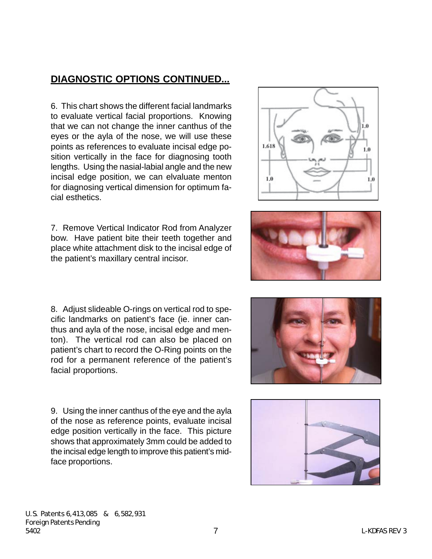cial esthetics.

8. Adjust slideable O-rings on vertical rod to specific landmarks on patient's face (ie. inner canthus and ayla of the nose, incisal edge and menton). The vertical rod can also be placed on patient's chart to record the O-Ring points on the rod for a permanent reference of the patient's facial proportions.

7. Remove Vertical Indicator Rod from Analyzer bow. Have patient bite their teeth together and place white attachment disk to the incisal edge of

the patient's maxillary central incisor.

6. This chart shows the different facial landmarks to evaluate vertical facial proportions. Knowing that we can not change the inner canthus of the eyes or the ayla of the nose, we will use these points as references to evaluate incisal edge position vertically in the face for diagnosing tooth lengths. Using the nasial-labial angle and the new incisal edge position, we can elvaluate menton for diagnosing vertical dimension for optimum fa-

**DIAGNOSTIC OPTIONS CONTINUED...**

# 9. Using the inner canthus of the eye and the ayla

of the nose as reference points, evaluate incisal edge position vertically in the face. This picture shows that approximately 3mm could be added to the incisal edge length to improve this patient's midface proportions.